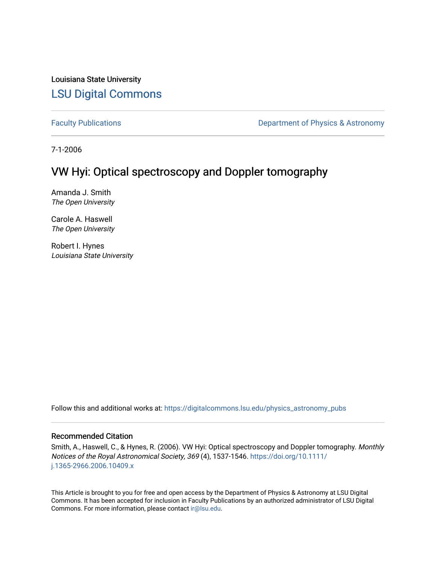Louisiana State University [LSU Digital Commons](https://digitalcommons.lsu.edu/)

[Faculty Publications](https://digitalcommons.lsu.edu/physics_astronomy_pubs) **Exercise 2** Constant Department of Physics & Astronomy

7-1-2006

# VW Hyi: Optical spectroscopy and Doppler tomography

Amanda J. Smith The Open University

Carole A. Haswell The Open University

Robert I. Hynes Louisiana State University

Follow this and additional works at: [https://digitalcommons.lsu.edu/physics\\_astronomy\\_pubs](https://digitalcommons.lsu.edu/physics_astronomy_pubs?utm_source=digitalcommons.lsu.edu%2Fphysics_astronomy_pubs%2F2622&utm_medium=PDF&utm_campaign=PDFCoverPages) 

## Recommended Citation

Smith, A., Haswell, C., & Hynes, R. (2006). VW Hyi: Optical spectroscopy and Doppler tomography. Monthly Notices of the Royal Astronomical Society, 369 (4), 1537-1546. [https://doi.org/10.1111/](https://doi.org/10.1111/j.1365-2966.2006.10409.x) [j.1365-2966.2006.10409.x](https://doi.org/10.1111/j.1365-2966.2006.10409.x) 

This Article is brought to you for free and open access by the Department of Physics & Astronomy at LSU Digital Commons. It has been accepted for inclusion in Faculty Publications by an authorized administrator of LSU Digital Commons. For more information, please contact [ir@lsu.edu](mailto:ir@lsu.edu).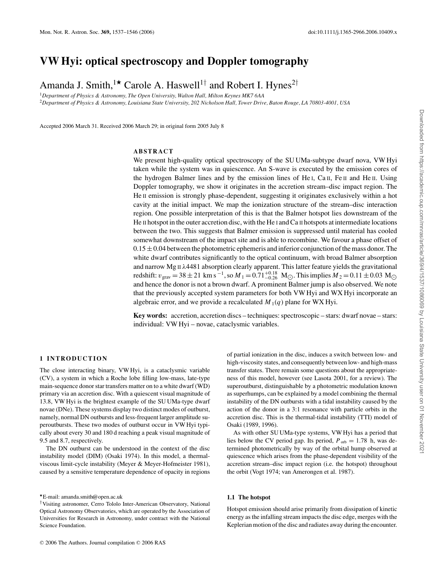## **VW Hyi: optical spectroscopy and Doppler tomography**

Amanda J. Smith,<sup>1\*</sup> Carole A. Haswell<sup>1†</sup> and Robert I. Hynes<sup>2†</sup>

<sup>1</sup>*Department of Physics & Astronomy, The Open University, Walton Hall, Milton Keynes MK7 6AA* <sup>2</sup>*Department of Physics & Astronomy, Louisiana State University, 202 Nicholson Hall, Tower Drive, Baton Rouge, LA 70803-4001, USA*

Accepted 2006 March 31. Received 2006 March 29; in original form 2005 July 8

## **ABSTRACT**

We present high-quality optical spectroscopy of the SU UMa-subtype dwarf nova, VW Hyi taken while the system was in quiescence. An S-wave is executed by the emission cores of the hydrogen Balmer lines and by the emission lines of He I, Ca II, Fe II and He II. Using Doppler tomography, we show it originates in the accretion stream–disc impact region. The He II emission is strongly phase-dependent, suggesting it originates exclusively within a hot cavity at the initial impact. We map the ionization structure of the stream–disc interaction region. One possible interpretation of this is that the Balmer hotspot lies downstream of the He II hotspot in the outer accretion disc, with the He I and Ca II hotspots at intermediate locations between the two. This suggests that Balmer emission is suppressed until material has cooled somewhat downstream of the impact site and is able to recombine. We favour a phase offset of  $0.15 \pm 0.04$  between the photometric ephemeris and inferior conjunction of the mass donor. The white dwarf contributes significantly to the optical continuum, with broad Balmer absorption and narrow Mg II λ4481 absorption clearly apparent. This latter feature yields the gravitational redshift:  $v_{\text{grav}} = 38 \pm 21 \, \text{ km s}^{-1}$ , so  $M_1 = 0.71_{-0.26}^{+0.18} \, \text{M}_{\odot}$ . This implies  $M_2 = 0.11 \pm 0.03 \, \text{M}_{\odot}$ and hence the donor is not a brown dwarf. A prominent Balmer jump is also observed. We note that the previously accepted system parameters for both VW Hyi and WX Hyi incorporate an algebraic error, and we provide a recalculated  $M_1(q)$  plane for WX Hyi.

**Key words:** accretion, accretion discs – techniques: spectroscopic – stars: dwarf novae – stars: individual: VW Hyi – novae, cataclysmic variables.

#### **1 INTRODUCTION**

The close interacting binary, VW Hyi, is a cataclysmic variable (CV), a system in which a Roche lobe filling low-mass, late-type main-sequence donor star transfers matter on to a white dwarf (WD) primary via an accretion disc. With a quiescent visual magnitude of 13.8, VW Hyi is the brightest example of the SU UMa-type dwarf novae (DNe). These systems display two distinct modes of outburst, namely, normal DN outbursts and less-frequent larger amplitude superoutbursts. These two modes of outburst occur in VW Hyi typically about every 30 and 180 d reaching a peak visual magnitude of 9.5 and 8.7, respectively.

The DN outburst can be understood in the context of the disc instability model (DIM) (Osaki 1974). In this model, a thermalviscous limit-cycle instability (Meyer & Meyer-Hofmeister 1981), caused by a sensitive temperature dependence of opacity in regions

-E-mail: amanda.smith@open.ac.uk

of partial ionization in the disc, induces a switch between low- and high-viscosity states, and consequently between low- and high-mass transfer states. There remain some questions about the appropriateness of this model, however (see Lasota 2001, for a review). The superoutburst, distinguishable by a photometric modulation known as superhumps, can be explained by a model combining the thermal instability of the DN outbursts with a tidal instability caused by the action of the donor in a 3:1 resonance with particle orbits in the accretion disc. This is the thermal-tidal instability (TTI) model of Osaki (1989, 1996).

As with other SU UMa-type systems, VW Hyi has a period that lies below the CV period gap. Its period,  $P_{\text{orb}} = 1.78$  h, was determined photometrically by way of the orbital hump observed at quiescence which arises from the phase-dependent visibility of the accretion stream–disc impact region (i.e. the hotspot) throughout the orbit (Vogt 1974; van Amerongen et al. 1987).

## **1.1 The hotspot**

Hotspot emission should arise primarily from dissipation of kinetic energy as the infalling stream impacts the disc edge, merges with the Keplerian motion of the disc and radiates away during the encounter.

<sup>†</sup>Visiting astronomer, Cerro Tololo Inter-American Observatory, National Optical Astronomy Observatories, which are operated by the Association of Universities for Research in Astronomy, under contract with the National Science Foundation.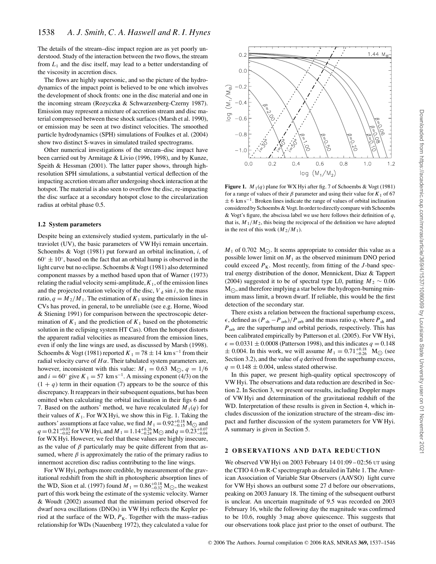The details of the stream–disc impact region are as yet poorly understood. Study of the interaction between the two flows, the stream from  $L_1$  and the disc itself, may lead to a better understanding of the viscosity in accretion discs.

The flows are highly supersonic, and so the picture of the hydrodynamics of the impact point is believed to be one which involves the development of shock fronts: one in the disc material and one in the incoming stream (Rozyczka & Schwarzenberg-Czerny 1987). Emission may represent a mixture of accretion stream and disc material compressed between these shock surfaces (Marsh et al. 1990), or emission may be seen at two distinct velocities. The smoothed particle hydrodynamics (SPH) simulations of Foulkes et al. (2004) show two distinct S-waves in simulated trailed spectrograms.

Other numerical investigations of the stream–disc impact have been carried out by Armitage & Livio (1996, 1998), and by Kunze, Speith & Hessman (2001). The latter paper shows, through highresolution SPH simulations, a substantial vertical deflection of the impacting accretion stream after undergoing shock interaction at the hotspot. The material is also seen to overflow the disc, re-impacting the disc surface at a secondary hotspot close to the circularization radius at orbital phase 0.5.

#### **1.2 System parameters**

Despite being an extensively studied system, particularly in the ultraviolet (UV), the basic parameters of VW Hyi remain uncertain. Schoembs & Vogt (1981) put forward an orbital inclination, *i*, of  $60^\circ \pm 10^\circ$ , based on the fact that an orbital hump is observed in the light curve but no eclipse. Schoembs & Vogt (1981) also determined component masses by a method based upon that of Warner (1973) relating the radial velocity semi-amplitude,  $K_1$ , of the emission lines and the projected rotation velocity of the disc,  $V_d \sin i$ , to the mass ratio,  $q = M_2/M_1$ . The estimation of  $K_1$  using the emission lines in CVs has proved, in general, to be unreliable (see e.g. Horne, Wood & Stiening 1991) for comparison between the spectroscopic determination of  $K_1$  and the prediction of  $K_1$  based on the photometric solution in the eclipsing system HT Cas). Often the hotspot distorts the apparent radial velocities as measured from the emission lines, even if only the line wings are used, as discussed by Marsh (1998). Schoembs & Vogt (1981) reported  $K_1 = 78 \pm 14$  km s<sup>-1</sup> from their radial velocity curve of  $H\alpha$ . Their tabulated system parameters are, however, inconsistent with this value:  $M_1 = 0.63$  M<sub> $\odot$ </sub>,  $q = 1/6$ and  $i = 60°$  give  $K_1 = 57$  km s<sup>-1</sup>. A missing exponent (4/3) on the  $(1 + q)$  term in their equation (7) appears to be the source of this discrepancy. It reappears in their subsequent equations, but has been omitted when calculating the orbital inclination in their figs 6 and 7. Based on the authors' method, we have recalculated  $M_1(q)$  for their values of  $K_1$ . For WX Hyi, we show this in Fig. 1. Taking the authors' assumptions at face value, we find  $M_1 = 0.92^{+0.18}_{-0.15}$  M<sub> $\odot$ </sub> and  $q = 0.21^{+0.03}_{-0.02}$  for VW Hyi, and  $M_1 = 1.14^{+0.26}_{-0.24}$  M<sub> $\odot$ </sub> and  $q = 0.23^{+0.07}_{-0.04}$ for WX Hyi. However, we feel that these values are highly insecure, as the value of  $\beta$  particularly may be quite different from that assumed, where  $\beta$  is approximately the ratio of the primary radius to innermost accretion disc radius contributing to the line wings.

For VW Hyi, perhaps more credible, by measurement of the gravitational redshift from the shift in photospheric absorption lines of the WD, Sion et al. (1997) found  $M_1 = 0.86^{+0.18}_{-0.32}$  M<sub>O</sub>, the weakest part of this work being the estimate of the systemic velocity. Warner & Woudt (2002) assumed that the minimum period observed for dwarf nova oscillations (DNOs) in VW Hyi reflects the Kepler period at the surface of the WD,  $P_K$ . Together with the mass-radius relationship for WDs (Nauenberg 1972), they calculated a value for



**Figure 1.**  $M_1(q)$  plane for WX Hyi after fig. 7 of Schoembs & Vogt (1981) for a range of values of their  $\beta$  parameter and using their value for  $K_1$  of 67  $\pm$  6 km s<sup>-1</sup>. Broken lines indicate the range of values of orbital inclination considered by Schoembs & Vogt. In order to directly compare with Schoembs & Vogt's figure, the abscissa label we use here follows their definition of *q*, that is,  $M_1/M_2$ , this being the reciprocal of the definition we have adopted in the rest of this work  $(M_2/M_1)$ .

 $M_1$  of 0.702 M<sub> $\odot$ </sub>. It seems appropriate to consider this value as a possible lower limit on  $M_1$  as the observed minimum DNO period could exceed  $P_K$ . Most recently, from fitting of the *J*-band spectral energy distribution of the donor, Mennickent, Diaz & Tappert (2004) suggested it to be of spectral type L0, putting  $M_2 \sim 0.06$  $\,{\rm M_\odot},$  and therefore implying a star below the hydrogen-burning minimum mass limit, a brown dwarf. If reliable, this would be the first detection of the secondary star.

There exists a relation between the fractional superhump excess,  $\epsilon$ , defined as  $(P_{\text{sh}} - P_{\text{orb}})/P_{\text{orb}}$  and the mass ratio *q*, where  $P_{\text{sh}}$  and  $P_{\text{orb}}$  are the superhump and orbital periods, respectively. This has been calibrated empirically by Patterson et al. (2005). For VW Hyi,  $\epsilon$  = 0.0331  $\pm$  0.0008 (Patterson 1998), and this indicates *q* = 0.148  $\pm$  0.004. In this work, we will assume  $M_1 = 0.71^{+0.18}_{-0.26}$  M<sub> $\odot$ </sub> (see Section 3.2), and the value of *q* derived from the superhump excess,  $q = 0.148 \pm 0.004$ , unless stated otherwise.

In this paper, we present high-quality optical spectroscopy of VW Hyi. The observations and data reduction are described in Section 2. In Section 3, we present our results, including Doppler maps of VW Hyi and determination of the gravitational redshift of the WD. Interpretation of these results is given in Section 4, which includes discussion of the ionization structure of the stream–disc impact and further discussion of the system parameters for VW Hyi. A summary is given in Section 5.

#### **2 OBSERVATIONS AND DATA REDUCTION**

We observed VW Hyi on 2003 February 14 01:09 – 02:56 UT using the CTIO 4.0-m R-C spectrograph as detailed in Table 1. The American Association of Variable Star Observers (AAVSO) light curve for VW Hyi shows an outburst some 27 d before our observations, peaking on 2003 January 18. The timing of the subsequent outburst is unclear. An uncertain magnitude of 9.5 was recorded on 2003 February 16, while the following day the magnitude was confirmed to be 10.6, roughly 3 mag above quiescence. This suggests that our observations took place just prior to the onset of outburst. The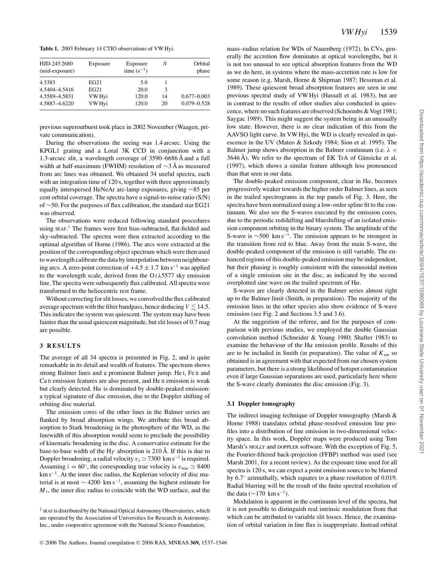**Table 1.** 2003 February 14 CTIO observations of VW Hyi.

| HJD-245 2680<br>(mid-exposure) | Exposure | Exposure<br>time $(s^{-1})$ | Ν  | Orbital<br>phase |
|--------------------------------|----------|-----------------------------|----|------------------|
| 4.5383                         | EG21     | 5.0                         |    |                  |
| 4.5404-4.5416                  | EG21     | 20.0                        | 3  |                  |
| 4.5589-4.5831                  | VW Hyi   | 120.0                       | 14 | $0.677 - 0.003$  |
| 4.5887-4.6220                  | VW Hyi   | 120.0                       | 20 | $0.079 - 0.528$  |

previous superoutburst took place in 2002 November (Waagen, private communication).

During the observations the seeing was 1.4 arcsec. Using the KPGL1 grating and a Loral 3K CCD in conjunction with a 1.3-arcsec slit, a wavelength coverage of 3590–6686 Å and a full width at half-maximum (FWHM) resolution of  $\sim$ 3 Å as measured from arc lines was obtained. We obtained 34 useful spectra, each with an integration time of 120 s, together with three approximately equally interspersed HeNeAr arc-lamp exposures, giving ∼85 per cent orbital coverage. The spectra have a signal-to-noise ratio (S/N) of ∼50. For the purposes of flux calibration, the standard star EG21 was observed.

The observations were reduced following standard procedures using IRAF.<sup>1</sup> The frames were first bias-subtracted, flat-fielded and sky-subtracted. The spectra were then extracted according to the optimal algorithm of Horne (1986). The arcs were extracted at the position of the corresponding object spectrum which were then used to wavelength calibrate the data by interpolation between neighbouring arcs. A zero-point correction of  $+4.5 \pm 1.7$  km s<sup>-1</sup> was applied to the wavelength scale, derived from the  $O<sub>I</sub> \lambda$ 5577 sky emission line. The spectra were subsequently flux calibrated. All spectra were transformed to the heliocentric rest frame.

Without correcting for slit losses, we convolved the flux calibrated average spectrum with the filter bandpass, hence deducing  $V \lesssim 14.5$ . This indicates the system was quiescent. The system may have been fainter than the usual quiescent magnitude, but slit losses of 0.7 mag are possible.

#### **3 RESULTS**

The average of all 34 spectra is presented in Fig. 2, and is quite remarkable in its detail and wealth of features. The spectrum shows strong Balmer lines and a prominent Balmer jump. He I, Fe II and Ca II emission features are also present, and He II emission is weak but clearly detected. H $\alpha$  is dominated by double-peaked emission: a typical signature of disc emission, due to the Doppler shifting of orbiting disc material.

The emission cores of the other lines in the Balmer series are flanked by broad absorption wings. We attribute this broad absorption to Stark broadening in the photosphere of the WD, as the linewidth of this absorption would seem to preclude the possibility of kinematic broadening in the disc. A conservative estimate for the base-to-base width of the H $\gamma$  absorption is 210 Å. If this is due to Doppler broadening, a radial velocity  $v_r \approx 7300 \text{ km s}^{-1}$  is required. Assuming  $i = 60^\circ$ , the corresponding true velocity is  $v_{\text{true}} \simeq 8400$ km s<sup>−</sup>1. At the inner disc radius, the Keplerian velocity of disc material is at most  $\sim$  4200 km s<sup>-1</sup>, assuming the highest estimate for  $M<sub>1</sub>$ , the inner disc radius to coincide with the WD surface, and the

mass–radius relation for WDs of Nauenberg (1972). In CVs, generally the accretion flow dominates at optical wavelengths, but it is not too unusual to see optical absorption features from the WD as we do here, in systems where the mass-accretion rate is low for some reason (e.g. Marsh, Horne & Shipman 1987; Hessman et al. 1989). These quiescent broad absorption features are seen in one previous spectral study of VW Hyi (Hassall et al. 1983), but are in contrast to the results of other studies also conducted in quiescence, where no such features are observed (Schoembs & Vogt 1981; Saygac 1989). This might suggest the system being in an unusually low state. However, there is no clear indication of this from the AAVSO light curve. In VW Hyi, the WD is clearly revealed in quiescence in the UV (Mateo & Szkody 1984; Sion et al. 1995). The Balmer jump shows absorption in the Balmer continuum (i.e.  $\lambda$  <  $3646$  Å). We refer to the spectrum of EK TrA of Gänsicke et al. (1997), which shows a similar feature although less pronounced than that seen in our data.

The double-peaked emission component, clear in  $H\alpha$ , becomes progressively weaker towards the higher order Balmer lines, as seen in the trailed spectrograms in the top panels of Fig. 3. Here, the spectra have been normalized using a low-order spline fit to the continuum. We also see the S-waves executed by the emission cores, due to the periodic redshifting and blueshifting of an isolated emission component orbiting in the binary system. The amplitude of the S-wave is  $\sim$ 500 km s<sup>-1</sup>. The emission appears to be strongest in the transition from red to blue. Away from the main S-wave, the double-peaked component of the emission is still variable. The enhanced regions of this double-peaked emission may be independent, but their phasing is roughly consistent with the sinusoidal motion of a single emission site in the disc, as indicated by the second overplotted sine wave on the trailed spectrum of  $H\alpha$ .

S-waves are clearly detected in the Balmer series almost right up to the Balmer limit (Smith, in preparation). The majority of the emission lines in the other species also show evidence of S-wave emission (see Fig. 2 and Sections 3.5 and 3.6).

At the suggestion of the referee, and for the purposes of comparison with previous studies, we employed the double Gaussian convolution method (Schneider & Young 1980; Shafter 1983) to examine the behaviour of the H $\alpha$  emission profile. Results of this are to be included in Smith (in preparation). The value of  $K_{\text{em}}$  so obtained is in agreement with that expected from our chosen system parameters, but there is a strong likelihood of hotspot contamination even if large Gaussian separations are used, particularly here where the S-wave clearly dominates the disc emission (Fig. 3).

#### **3.1 Doppler tomography**

The indirect imaging technique of Doppler tomography (Marsh & Horne 1988) translates orbital phase-resolved emission line profiles into a distribution of line emission in two-dimensional velocity space. In this work, Doppler maps were produced using Tom Marsh's MOLLY and DOPPLER software. With the exception of Fig. 5, the Fourier-filtered back-projection (FFBP) method was used (see Marsh 2001, for a recent review). As the exposure time used for all spectra is 120 s, we can expect a point emission source to be blurred by 6.7◦ azimuthally, which equates to a phase resolution of 0.019. Radial blurring will be the result of the finite spectral resolution of the data ( $\sim$ 170 km s<sup>-1</sup>).

Modulation is apparent in the continuum level of the spectra, but it is not possible to distinguish real intrinsic modulation from that which can be attributed to variable slit losses. Hence, the examination of orbital variation in line flux is inappropriate. Instead orbital

<sup>&</sup>lt;sup>1</sup> IRAF is distributed by the National Optical Astronomy Observatories, which are operated by the Association of Universities for Research in Astronomy, Inc., under cooperative agreement with the National Science Foundation.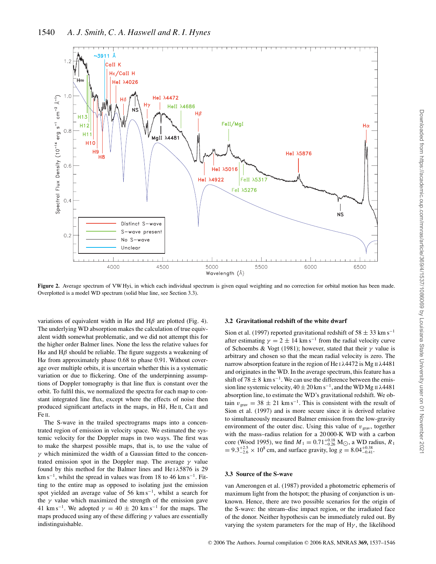

Figure 2. Average spectrum of VW Hyi, in which each individual spectrum is given equal weighting and no correction for orbital motion has been made. Overplotted is a model WD spectrum (solid blue line, see Section 3.3).

variations of equivalent width in H $\alpha$  and H $\beta$  are plotted (Fig. 4). The underlying WD absorption makes the calculation of true equivalent width somewhat problematic, and we did not attempt this for the higher order Balmer lines. None the less the relative values for H $\alpha$  and H $\beta$  should be reliable. The figure suggests a weakening of Hα from approximately phase  $0.68$  to phase  $0.91$ . Without coverage over multiple orbits, it is uncertain whether this is a systematic variation or due to flickering. One of the underpinning assumptions of Doppler tomography is that line flux is constant over the orbit. To fulfil this, we normalized the spectra for each map to constant integrated line flux, except where the effects of noise then produced significant artefacts in the maps, in Hδ, He II, Ca II and Fe II.

The S-wave in the trailed spectrograms maps into a concentrated region of emission in velocity space. We estimated the systemic velocity for the Doppler maps in two ways. The first was to make the sharpest possible maps, that is, to use the value of  $\gamma$  which minimized the width of a Gaussian fitted to the concentrated emission spot in the Doppler map. The average  $\gamma$  value found by this method for the Balmer lines and He I λ5876 is 29 km s<sup>−1</sup>, whilst the spread in values was from 18 to 46 km s<sup>−1</sup>. Fitting to the entire map as opposed to isolating just the emission spot yielded an average value of 56 km s<sup>-1</sup>, whilst a search for the  $\gamma$  value which maximized the strength of the emission gave 41 km s<sup>-1</sup>. We adopted  $\gamma = 40 \pm 20$  km s<sup>-1</sup> for the maps. The maps produced using any of these differing  $\gamma$  values are essentially indistinguishable.

#### **3.2 Gravitational redshift of the white dwarf**

Sion et al. (1997) reported gravitational redshift of  $58 \pm 33$  km s<sup>-1</sup> after estimating  $\gamma = 2 \pm 14$  km s<sup>-1</sup> from the radial velocity curve of Schoembs & Vogt (1981); however, stated that their  $\gamma$  value is arbitrary and chosen so that the mean radial velocity is zero. The narrow absorption feature in the region of He I λ4472 is Mg II λ4481 and originates in the WD. In the average spectrum, this feature has a shift of 78  $\pm$  8 km s<sup>-1</sup>. We can use the difference between the emission line systemic velocity,  $40 \pm 20$  km s<sup>-1</sup>, and the WD Mg II  $\lambda$ 4481 absorption line, to estimate the WD's gravitational redshift. We obtain  $v_{\text{grav}} = 38 \pm 21 \text{ km s}^{-1}$ . This is consistent with the result of Sion et al. (1997) and is more secure since it is derived relative to simultaneously measured Balmer emission from the low-gravity environment of the outer disc. Using this value of  $v_{\text{grav}}$ , together with the mass–radius relation for a 20 000-K WD with a carbon core (Wood 1995), we find  $M_1 = 0.71^{+0.18}_{-0.26}$  M<sub>O</sub>, a WD radius,  $R_1$  $= 9.3^{+2.5}_{-2.6} \times 10^8$  cm, and surface gravity, log  $g = 8.04^{+0.38}_{-0.41}$ .

#### **3.3 Source of the S-wave**

van Amerongen et al. (1987) provided a photometric ephemeris of maximum light from the hotspot; the phasing of conjunction is unknown. Hence, there are two possible scenarios for the origin of the S-wave: the stream–disc impact region, or the irradiated face of the donor. Neither hypothesis can be immediately ruled out. By varying the system parameters for the map of  $H\gamma$ , the likelihood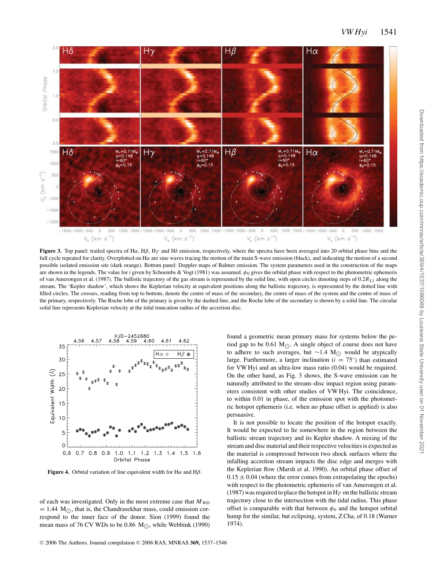

**Figure 3.** Top panel: trailed spectra of Hα, Hβ, Hγ and Hδ emission, respectively, where the spectra have been averaged into 20 orbital phase bins and the full cycle repeated for clarity. Overplotted on Ha are sine waves tracing the motion of the main S-wave emission (black), and indicating the motion of a second possible isolated emission site (dark orange). Bottom panel: Doppler maps of Balmer emission. The system parameters used in the construction of the maps are shown in the legends. The value for *i* given by Schoembs & Vogt (1981) was assumed.  $\phi_0$  gives the orbital phase with respect to the photometric ephemeris of van Amerongen et al. (1987). The ballistic trajectory of the gas stream is represented by the solid line, with open circles denoting steps of  $0.2R<sub>L1</sub>$  along the stream. The 'Kepler shadow', which shows the Keplerian velocity at equivalent positions along the ballistic trajectory, is represented by the dotted line with filled circles. The crosses, reading from top to bottom, denote the centre of mass of the secondary, the centre of mass of the system and the centre of mass of the primary, respectively. The Roche lobe of the primary is given by the dashed line, and the Roche lobe of the secondary is shown by a solid line. The circular solid line represents Keplerian velocity at the tidal truncation radius of the accretion disc.



**Figure 4.** Orbital variation of line equivalent width for H $\alpha$  and H $\beta$ .

of each was investigated. Only in the most extreme case that  $M_{WD}$  $= 1.44$  M<sub> $\odot$ </sub>, that is, the Chandrasekhar mass, could emission correspond to the inner face of the donor. Sion (1999) found the mean mass of 76 CV WDs to be 0.86  $M_{\odot}$ , while Webbink (1990) found a geometric mean primary mass for systems below the period gap to be 0.61 M $_{\odot}$ . A single object of course does not have to adhere to such averages, but ~1.4 M<sub>⊙</sub> would be atypically large. Furthermore, a larger inclination ( $i = 75°$ ) than estimated for VW Hyi and an ultra-low mass ratio (0.04) would be required. On the other hand, as Fig. 3 shows, the S-wave emission can be naturally attributed to the stream–disc impact region using parameters consistent with other studies of VW Hyi. The coincidence, to within 0.01 in phase, of the emission spot with the photometric hotspot ephemeris (i.e. when no phase offset is applied) is also persuasive.

It is not possible to locate the position of the hotspot exactly. It would be expected to lie somewhere in the region between the ballistic stream trajectory and its Kepler shadow. A mixing of the stream and disc material and their respective velocities is expected as the material is compressed between two shock surfaces where the infalling accretion stream impacts the disc edge and merges with the Keplerian flow (Marsh et al. 1990). An orbital phase offset of  $0.15 \pm 0.04$  (where the error comes from extrapolating the epochs) with respect to the photometric ephemeris of van Amerongen et al. (1987) was required to place the hotspot in H $\gamma$  on the ballistic stream trajectory close to the intersection with the tidal radius. This phase offset is comparable with that between  $\phi_0$  and the hotspot orbital hump for the similar, but eclipsing, system, Z Cha, of 0.18 (Warner 1974).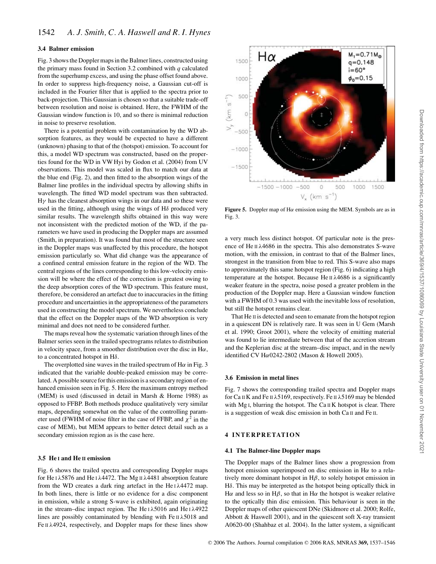#### **3.4 Balmer emission**

Fig. 3 shows the Doppler maps in the Balmer lines, constructed using the primary mass found in Section 3.2 combined with *q* calculated from the superhump excess, and using the phase offset found above. In order to suppress high-frequency noise, a Gaussian cut-off is included in the Fourier filter that is applied to the spectra prior to back-projection. This Gaussian is chosen so that a suitable trade-off between resolution and noise is obtained. Here, the FWHM of the Gaussian window function is 10, and so there is minimal reduction in noise to preserve resolution.

There is a potential problem with contamination by the WD absorption features, as they would be expected to have a different (unknown) phasing to that of the (hotspot) emission. To account for this, a model WD spectrum was constructed, based on the properties found for the WD in VW Hyi by Godon et al. (2004) from UV observations. This model was scaled in flux to match our data at the blue end (Fig. 2), and then fitted to the absorption wings of the Balmer line profiles in the individual spectra by allowing shifts in wavelength. The fitted WD model spectrum was then subtracted.  $H\gamma$  has the cleanest absorption wings in our data and so these were used in the fitting, although using the wings of  $H\delta$  produced very similar results. The wavelength shifts obtained in this way were not inconsistent with the predicted motion of the WD, if the parameters we have used in producing the Doppler maps are assumed (Smith, in preparation). It was found that most of the structure seen in the Doppler maps was unaffected by this procedure, the hotspot emission particularly so. What did change was the appearance of a confined central emission feature in the region of the WD. The central regions of the lines corresponding to this low-velocity emission will be where the effect of the correction is greatest owing to the deep absorption cores of the WD spectrum. This feature must, therefore, be considered an artefact due to inaccuracies in the fitting procedure and uncertainties in the appropriateness of the parameters used in constructing the model spectrum. We nevertheless conclude that the effect on the Doppler maps of the WD absorption is very minimal and does not need to be considered further.

The maps reveal how the systematic variation through lines of the Balmer series seen in the trailed spectrograms relates to distribution in velocity space, from a smoother distribution over the disc in  $H\alpha$ , to a concentrated hotspot in Hδ.

The overplotted sine waves in the trailed spectrum of  $H\alpha$  in Fig. 3 indicated that the variable double-peaked emission may be correlated. A possible source for this emission is a secondary region of enhanced emission seen in Fig. 5. Here the maximum entropy method (MEM) is used (discussed in detail in Marsh & Horne 1988) as opposed to FFBP. Both methods produce qualitatively very similar maps, depending somewhat on the value of the controlling parameter used (FWHM of noise filter in the case of FFBP, and  $\chi^2$  in the case of MEM), but MEM appears to better detect detail such as a secondary emission region as is the case here.

#### **3.5 He I and He II emission**

Fig. 6 shows the trailed spectra and corresponding Doppler maps for He I λ5876 and He I λ4472. The Mg II λ4481 absorption feature from the WD creates a dark ring artefact in the He I λ4472 map. In both lines, there is little or no evidence for a disc component in emission, while a strong S-wave is exhibited, again originating in the stream–disc impact region. The He I λ5016 and He I λ4922 lines are possibly contaminated by blending with  $Fe II \lambda 5018$  and Fe II λ4924, respectively, and Doppler maps for these lines show



**Figure 5.** Doppler map of H $\alpha$  emission using the MEM. Symbols are as in Fig. 3.

a very much less distinct hotspot. Of particular note is the presence of He II λ4686 in the spectra. This also demonstrates S-wave motion, with the emission, in contrast to that of the Balmer lines, strongest in the transition from blue to red. This S-wave also maps to approximately this same hotspot region (Fig. 6) indicating a high temperature at the hotspot. Because He II λ4686 is a significantly weaker feature in the spectra, noise posed a greater problem in the production of the Doppler map. Here a Gaussian window function with a FWHM of 0.3 was used with the inevitable loss of resolution, but still the hotspot remains clear.

That He II is detected and seen to emanate from the hotspot region in a quiescent DN is relatively rare. It was seen in U Gem (Marsh et al. 1990; Groot 2001), where the velocity of emitting material was found to lie intermediate between that of the accretion stream and the Keplerian disc at the stream–disc impact, and in the newly identified CV H $\alpha$ 0242-2802 (Mason & Howell 2005).

#### **3.6 Emission in metal lines**

Fig. 7 shows the corresponding trailed spectra and Doppler maps for Ca II K and Fe II  $\lambda$ 5169, respectively. Fe II  $\lambda$ 5169 may be blended with Mg<sub>I</sub>, blurring the hotspot. The Ca<sub>II</sub> K hotspot is clear. There is a suggestion of weak disc emission in both Ca II and Fe II.

## **4 INTERPRETATION**

#### **4.1 The Balmer-line Doppler maps**

The Doppler maps of the Balmer lines show a progression from hotspot emission superimposed on disc emission in  $H\alpha$  to a relatively more dominant hotspot in  $H\beta$ , to solely hotspot emission in Hδ. This may be interpreted as the hotspot being optically thick in Hα and less so in H $β$ , so that in Hα the hotspot is weaker relative to the optically thin disc emission. This behaviour is seen in the Doppler maps of other quiescent DNe (Skidmore et al. 2000; Rolfe, Abbott & Haswell 2001), and in the quiescent soft X-ray transient A0620-00 (Shahbaz et al. 2004). In the latter system, a significant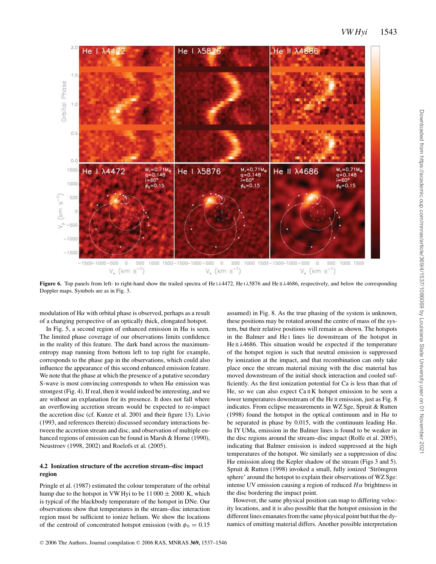

**Figure 6.** Top panels from left- to right-hand show the trailed spectra of He I λ4472, He I λ5876 and He II λ4686, respectively, and below the corresponding Doppler maps. Symbols are as in Fig. 3.

modulation of  $H\alpha$  with orbital phase is observed, perhaps as a result of a changing perspective of an optically thick, elongated hotspot.

In Fig. 5, a second region of enhanced emission in  $H\alpha$  is seen. The limited phase coverage of our observations limits confidence in the reality of this feature. The dark band across the maximumentropy map running from bottom left to top right for example, corresponds to the phase gap in the observations, which could also influence the appearance of this second enhanced emission feature. We note that the phase at which the presence of a putative secondary S-wave is most convincing corresponds to when  $H\alpha$  emission was strongest (Fig. 4). If real, then it would indeed be interesting, and we are without an explanation for its presence. It does not fall where an overflowing accretion stream would be expected to re-impact the accretion disc (cf. Kunze et al. 2001 and their figure 13). Livio (1993, and references therein) discussed secondary interactions between the accretion stream and disc, and observation of multiple enhanced regions of emission can be found in Marsh & Horne (1990), Neustroev (1998, 2002) and Roelofs et al. (2005).

#### **4.2 Ionization structure of the accretion stream–disc impact region**

Pringle et al. (1987) estimated the colour temperature of the orbital hump due to the hotspot in VW Hyi to be  $11\,000 \pm 2000$  K, which is typical of the blackbody temperature of the hotspot in DNe. Our observations show that temperatures in the stream–disc interaction region must be sufficient to ionize helium. We show the locations of the centroid of concentrated hotspot emission (with  $\phi_0 = 0.15$  assumed) in Fig. 8. As the true phasing of the system is unknown, these positions may be rotated around the centre of mass of the system, but their relative positions will remain as shown. The hotspots in the Balmer and He<sub>I</sub> lines lie downstream of the hotspot in He  $II \lambda 4686$ . This situation would be expected if the temperature of the hotspot region is such that neutral emission is suppressed by ionization at the impact, and that recombination can only take place once the stream material mixing with the disc material has moved downstream of the initial shock interaction and cooled sufficiently. As the first ionization potential for Ca is less than that of He, so we can also expect Ca II K hotspot emission to be seen a lower temperatures downstream of the He II emission, just as Fig. 8 indicates. From eclipse measurements in WZ Sge, Spruit & Rutten (1998) found the hotspot in the optical continuum and in H $\alpha$  to be separated in phase by 0.015, with the continuum leading  $H\alpha$ . In IY UMa, emission in the Balmer lines is found to be weaker in the disc regions around the stream–disc impact (Rolfe et al. 2005), indicating that Balmer emission is indeed suppressed at the high temperatures of the hotspot. We similarly see a suppression of disc H $\alpha$  emission along the Kepler shadow of the stream (Figs 3 and 5). Spruit & Rutten (1998) invoked a small, fully ionized 'Strömgren sphere' around the hotspot to explain their observations of WZ Sge: intense UV emission causing a region of reduced  $H\alpha$  brightness in the disc bordering the impact point.

However, the same physical position can map to differing velocity locations, and it is also possible that the hotspot emission in the different lines emanates from the same physical point but that the dynamics of emitting material differs. Another possible interpretation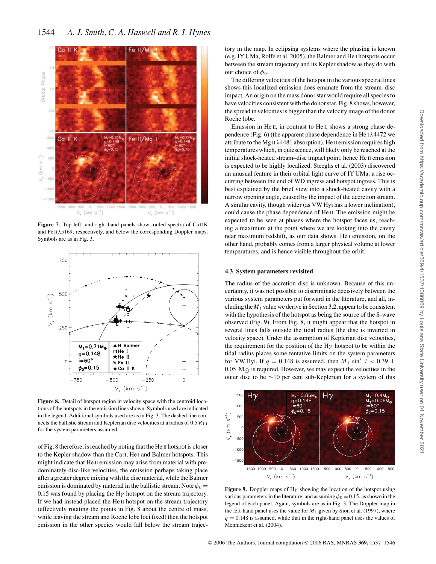

Figure 7. Top left- and right-hand panels show trailed spectra of Ca II K and  $Fe II \lambda 5169$ , respectively, and below the corresponding Doppler maps. Symbols are as in Fig. 3.



**Figure 8.** Detail of hotspot region in velocity space with the centroid locations of the hotspots in the emission lines shown. Symbols used are indicated in the legend. Additional symbols used are as in Fig. 3. The dashed line connects the ballistic stream and Keplerian disc velocities at a radius of 0.5 *R*L1 for the system parameters assumed.

of Fig. 8 therefore, is reached by noting that the He II hotspot is closer to the Kepler shadow than the Ca II, He I and Balmer hotspots. This might indicate that He II emission may arise from material with predominately disc-like velocities, the emission perhaps taking place after a greater degree mixing with the disc material, while the Balmer emission is dominated by material in the ballistic stream. Note  $\phi_0 =$ 0.15 was found by placing the H $\gamma$  hotspot on the stream trajectory. If we had instead placed the He II hotspot on the stream trajectory (effectively rotating the points in Fig. 8 about the centre of mass, while leaving the stream and Roche lobe loci fixed) then the hotspot emission in the other species would fall below the stream trajectory in the map. In eclipsing systems where the phasing is known (e.g. IY UMa, Rolfe et al. 2005), the Balmer and He I hotspots occur between the stream trajectory and its Kepler shadow as they do with our choice of  $\phi_0$ .

The differing velocities of the hotspot in the various spectral lines shows this localized emission does emanate from the stream–disc impact. An origin on the mass donor star would require all species to have velocities consistent with the donor star. Fig. 8 shows, however, the spread in velocities is bigger than the velocity image of the donor Roche lobe.

Emission in He II, in contrast to He I, shows a strong phase dependence (Fig. 6) (the apparent phase dependence in He  $I \lambda$ 4472 we attribute to the Mg II  $\lambda$ 4481 absorption). He II emission requires high temperatures which, in quiescence, will likely only be reached at the initial shock-heated stream–disc impact point, hence He II emission is expected to be highly localized. Steeghs et al. (2003) discovered an unusual feature in their orbital light curve of IY UMa: a rise occurring between the end of WD ingress and hotspot ingress. This is best explained by the brief view into a shock-heated cavity with a narrow opening angle, caused by the impact of the accretion stream. A similar cavity, though wider (as VW Hyi has a lower inclination), could cause the phase dependence of He II. The emission might be expected to be seen at phases where the hotspot faces us, reaching a maximum at the point where we are looking into the cavity near maximum redshift, as our data shows. He I emission, on the other hand, probably comes from a larger physical volume at lower temperatures, and is hence visible throughout the orbit.

#### **4.3 System parameters revisited**

The radius of the accretion disc is unknown. Because of this uncertainty, it was not possible to discriminate decisively between the various system parameters put forward in the literature, and all, including the  $M_1$  value we derive in Section 3.2, appear to be consistent with the hypothesis of the hotspot as being the source of the S-wave observed (Fig. 9). From Fig. 8, it might appear that the hotspot in several lines falls outside the tidal radius (the disc is inverted in velocity space). Under the assumption of Keplerian disc velocities, the requirement for the position of the  $H\gamma$  hotspot to be within the tidal radius places some tentative limits on the system parameters for VW Hyi. If  $q = 0.148$  is assumed, then  $M_1 \sin^3 i < 0.39 \pm 1$  $0.05\,$  M $_\odot$  is required. However, we may expect the velocities in the outer disc to be ∼10 per cent sub-Keplerian for a system of this



**Figure 9.** Doppler maps of  $H\gamma$  showing the location of the hotspot using various parameters in the literature, and assuming  $\phi_0 = 0.15$ , as shown in the legend of each panel. Again, symbols are as in Fig. 3. The Doppler map in the left-hand panel uses the value for  $M_1$  given by Sion et al. (1997), where  $q = 0.148$  is assumed, while that in the right-hand panel uses the values of Mennickent et al. (2004).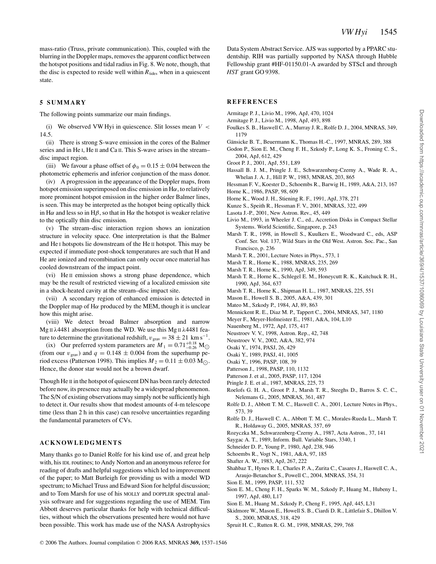mass-ratio (Truss, private communication). This, coupled with the blurring in the Doppler maps, removes the apparent conflict between the hotspot positions and tidal radius in Fig. 8. We note, though, that the disc is expected to reside well within  $R_{\text{tides}}$  when in a quiescent state.

### **5 SUMMARY**

The following points summarize our main findings.

(i) We observed VW Hyi in quiescence. Slit losses mean  $V <$ 14.5.

(ii) There is strong S-wave emission in the cores of the Balmer series and in He I, He II and Ca II. This S-wave arises in the stream– disc impact region.

(iii) We favour a phase offset of  $\phi_0 = 0.15 \pm 0.04$  between the photometric ephemeris and inferior conjunction of the mass donor.

(iv) A progression in the appearance of the Doppler maps, from hotspot emission superimposed on disc emission in  $H\alpha$ , to relatively more prominent hotspot emission in the higher order Balmer lines, is seen. This may be interpreted as the hotspot being optically thick in H $\alpha$  and less so in H $\beta$ , so that in H $\alpha$  the hotspot is weaker relative to the optically thin disc emission.

(v) The stream–disc interaction region shows an ionization structure in velocity space. One interpretation is that the Balmer and He I hotspots lie downstream of the He II hotspot. This may be expected if immediate post-shock temperatures are such that H and He are ionized and recombination can only occur once material has cooled downstream of the impact point.

(vi) He II emission shows a strong phase dependence, which may be the result of restricted viewing of a localized emission site in a shock-heated cavity at the stream–disc impact site.

(vii) A secondary region of enhanced emission is detected in the Doppler map of  $H\alpha$  produced by the MEM, though it is unclear how this might arise.

(viii) We detect broad Balmer absorption and narrow Mg II  $\lambda$ 4481 absorption from the WD. We use this Mg II  $\lambda$ 4481 feature to determine the gravitational redshift,  $v_{\text{grav}} = 38 \pm 21 \text{ km s}^{-1}$ .

(ix) Our preferred system parameters are  $M_1 = 0.71^{+0.18}_{-0.26}$  M<sub> $\odot$ </sub> (from our  $v_{\text{grav}}$ ) and  $q = 0.148 \pm 0.004$  from the superhump period excess (Patterson 1998). This implies  $M_2 = 0.11 \pm 0.03$  M<sub>O</sub>. Hence, the donor star would not be a brown dwarf.

Though He II in the hotspot of quiescent DN has been rarely detected before now, its presence may actually be a widespread phenomenon. The S/N of existing observations may simply not be sufficiently high to detect it. Our results show that modest amounts of 4-m telescope time (less than 2 h in this case) can resolve uncertainties regarding the fundamental parameters of CVs.

## **ACKNOWLEDGMENTS**

Many thanks go to Daniel Rolfe for his kind use of, and great help with, his IDL routines; to Andy Norton and an anonymous referee for reading of drafts and helpful suggestions which led to improvement of the paper; to Matt Burleigh for providing us with a model WD spectrum; to Michael Truss and Edward Sion for helpful discussion; and to Tom Marsh for use of his MOLLY and DOPPLER spectral analysis software and for suggestions regarding the use of MEM. Tim Abbott deserves particular thanks for help with technical difficulties, without which the observations presented here would not have been possible. This work has made use of the NASA Astrophysics

Data System Abstract Service. AJS was supported by a PPARC studentship. RIH was partially supported by NASA through Hubble Fellowship grant #HF-01150.01-A awarded by STScI and through *HST* grant GO 9398.

## **REFERENCES**

- Armitage P. J., Livio M., 1996, ApJ, 470, 1024
- Armitage P. J., Livio M., 1998, ApJ, 493, 898
- Foulkes S. B., Haswell C. A., Murray J. R., Rolfe D. J., 2004, MNRAS, 349, 1179
- Gänsicke B. T., Beuermann K., Thomas H.-C., 1997, MNRAS, 289, 388
- Godon P., Sion E. M., Cheng F. H., Szkody P., Long K. S., Froning C. S., 2004, ApJ, 612, 429
- Groot P. J., 2001, ApJ, 551, L89
- Hassall B. J. M., Pringle J. E., Schwarzenberg-Czerny A., Wade R. A., Whelan J. A. J., Hill P. W., 1983, MNRAS, 203, 865
- Hessman F. V., Koester D., Schoembs R., Barwig H., 1989, A&A, 213, 167 Horne K., 1986, PASP, 98, 609
- Horne K., Wood J. H., Stiening R. F., 1991, ApJ, 378, 271
- Kunze S., Speith R., Hessman F. V., 2001, MNRAS, 322, 499
- Lasota J.-P., 2001, New Astron. Rev., 45, 449
- Livio M., 1993, in Wheeler J. C., ed., Accretion Disks in Compact Stellar Systems. World Scientific, Singapore, p. 243
- Marsh T. R., 1998, in Howell S., Kuulkers E., Woodward C., eds, ASP Conf. Ser. Vol. 137, Wild Stars in the Old West. Astron. Soc. Pac., San Francisco, p. 236
- Marsh T. R., 2001, Lecture Notes in Phys., 573, 1
- Marsh T. R., Horne K., 1988, MNRAS, 235, 269
- Marsh T. R., Horne K., 1990, ApJ, 349, 593
- Marsh T. R., Horne K., Schlegel E. M., Honeycutt R. K., Kaitchuck R. H., 1990, ApJ, 364, 637
- Marsh T. R., Horne K., Shipman H. L., 1987, MNRAS, 225, 551
- Mason E., Howell S. B., 2005, A&A, 439, 301
- Mateo M., Szkody P., 1984, AJ, 89, 863
- Mennickent R. E., Diaz M. P., Tappert C., 2004, MNRAS, 347, 1180
- Meyer F., Meyer-Hofmeister E., 1981, A&A, 104, L10
- Nauenberg M., 1972, ApJ, 175, 417
- Neustroev V. V., 1998, Astron. Rep., 42, 748
- Neustroev V. V., 2002, A&A, 382, 974
- Osaki Y., 1974, PASJ, 26, 429
- Osaki Y., 1989, PASJ, 41, 1005
- Osaki Y., 1996, PASP, 108, 39
- Patterson J., 1998, PASP, 110, 1132
- Patterson J. et al., 2005, PASP, 117, 1204
- Pringle J. E. et al., 1987, MNRAS, 225, 73
- Roelofs G. H. A., Groot P. J., Marsh T. R., Steeghs D., Barros S. C. C., Nelemans G., 2005, MNRAS, 361, 487
- Rolfe D. J., Abbott T. M. C., Haswell C. A., 2001, Lecture Notes in Phys., 573, 39
- Rolfe D. J., Haswell C. A., Abbott T. M. C., Morales-Rueda L., Marsh T. R., Holdaway G., 2005, MNRAS, 357, 69
- Rozyczka M., Schwarzenberg-Czerny A., 1987, Acta Astron., 37, 141
- Saygac A. T., 1989, Inform. Bull. Variable Stars, 3340, 1
- Schneider D. P., Young P., 1980, ApJ, 238, 946
- Schoembs R., Vogt N., 1981, A&A, 97, 185
- Shafter A. W., 1983, ApJ, 267, 222
- Shahbaz T., Hynes R. I., Charles P. A., Zurita C., Casares J., Haswell C. A., Araujo-Betanchor S., Powell C., 2004, MNRAS, 354, 31
- Sion E. M., 1999, PASP, 111, 532
- Sion E. M., Cheng F. H., Sparks W. M., Szkody P., Huang M., Hubeny I., 1997, ApJ, 480, L17
- Sion E. M., Huang M., Szkody P., Cheng F., 1995, ApJ, 445, L31
- Skidmore W., Mason E., Howell S. B., Ciardi D. R., Littlefair S., Dhillon V. S., 2000, MNRAS, 318, 429
- Spruit H. C., Rutten R. G. M., 1998, MNRAS, 299, 768